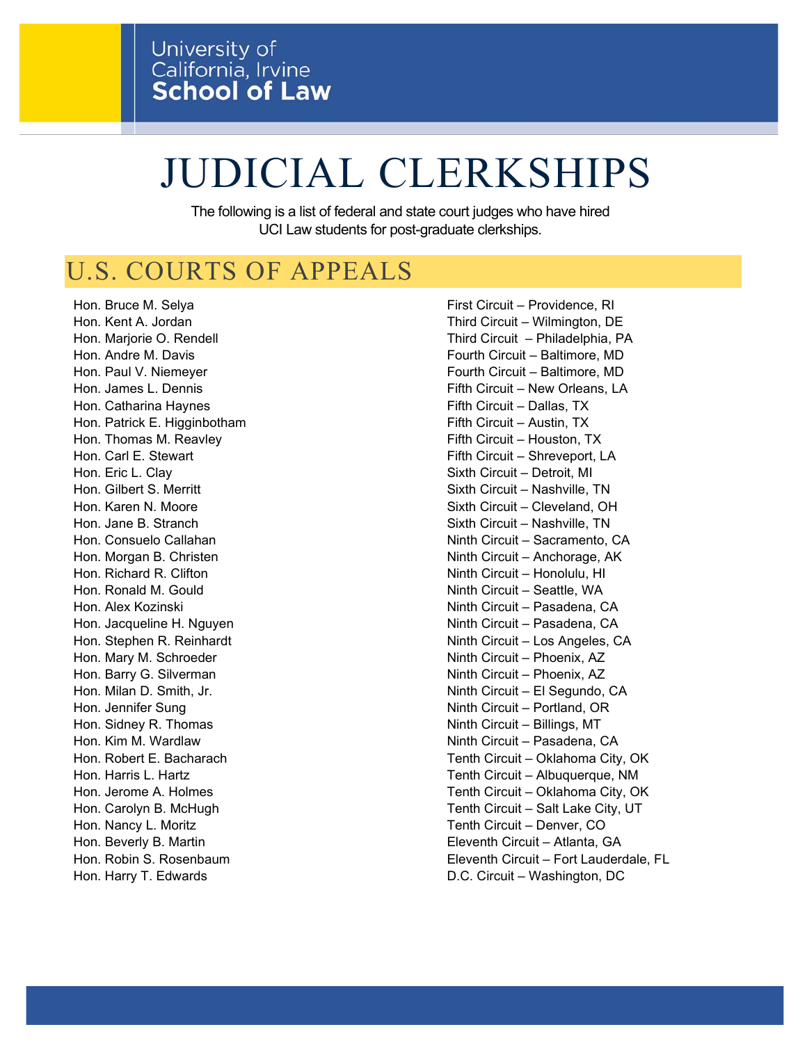# JUDICIAL CLERKSHIPS

The following is a list of federal and state court judges who have hired UCI Law students for post-graduate clerkships.

# U.S. COURTS OF APPEALS

Hon. Bruce M. Selya First Circuit – Providence, RI Hon. Catharina Haynes **Figure 1** and the Fifth Circuit – Dallas, TX Hon. Patrick E. Higginbotham Figure 1, 1999 Fifth Circuit – Austin, TX Hon. Thomas M. Reavley **Fifth Circuit – Houston, TX** Hon. Carl E. Stewart Fifth Circuit – Shreveport, LA Hon. Eric L. Clay Sixth Circuit – Detroit, MI Hon. Gilbert S. Merritt Sixth Circuit – Nashville, TN Hon. Karen N. Moore Sixth Circuit – Cleveland, OH Hon. Jane B. Stranch Sixth Circuit – Nashville, TN Hon. Richard R. Clifton Ninth Circuit – Honolulu, HI Hon. Ronald M. Gould No. Ninth Circuit – Seattle, WA Hon. Jacqueline H. Nguyen Ninth Circuit – Pasadena, CA Hon. Mary M. Schroeder Ninth Circuit – Phoenix, AZ Hon. Barry G. Silverman Ninth Circuit – Phoenix, AZ Hon. Jennifer Sung Ninth Circuit – Portland, OR Hon. Sidney R. Thomas Ninth Circuit – Billings, MT Hon. Nancy L. Moritz Tenth Circuit – Denver, CO

Hon. Kent A. Jordan Third Circuit – Wilmington, DE Hon. Marjorie O. Rendell Third Circuit – Philadelphia, PA Hon. Andre M. Davis **Fourth Circuit – Baltimore, MD** Hon. Paul V. Niemeyer Fourth Circuit – Baltimore, MD Hon. James L. Dennis **Fifth Circuit – New Orleans, LA** Hon. Consuelo Callahan Ninth Circuit – Sacramento, CA Hon. Morgan B. Christen Ninth Circuit – Anchorage, AK Hon. Alex Kozinski Ninth Circuit – Pasadena, CA Hon. Stephen R. Reinhardt Ninth Circuit – Los Angeles, CA Hon. Milan D. Smith, Jr. Ninth Circuit – El Segundo, CA Hon. Kim M. Wardlaw Ninth Circuit – Pasadena, CA Hon. Robert E. Bacharach Tenth Circuit – Oklahoma City, OK Hon. Harris L. Hartz **Tenth Circuit – Albuquerque, NM** Hon. Jerome A. Holmes Tenth Circuit – Oklahoma City, OK Hon. Carolyn B. McHugh Tenth Circuit – Salt Lake City, UT Hon. Beverly B. Martin Eleventh Circuit – Atlanta, GA Hon. Robin S. Rosenbaum Eleventh Circuit – Fort Lauderdale, FL

Hon. Harry T. Edwards **D.C. Circuit – Washington, DC.**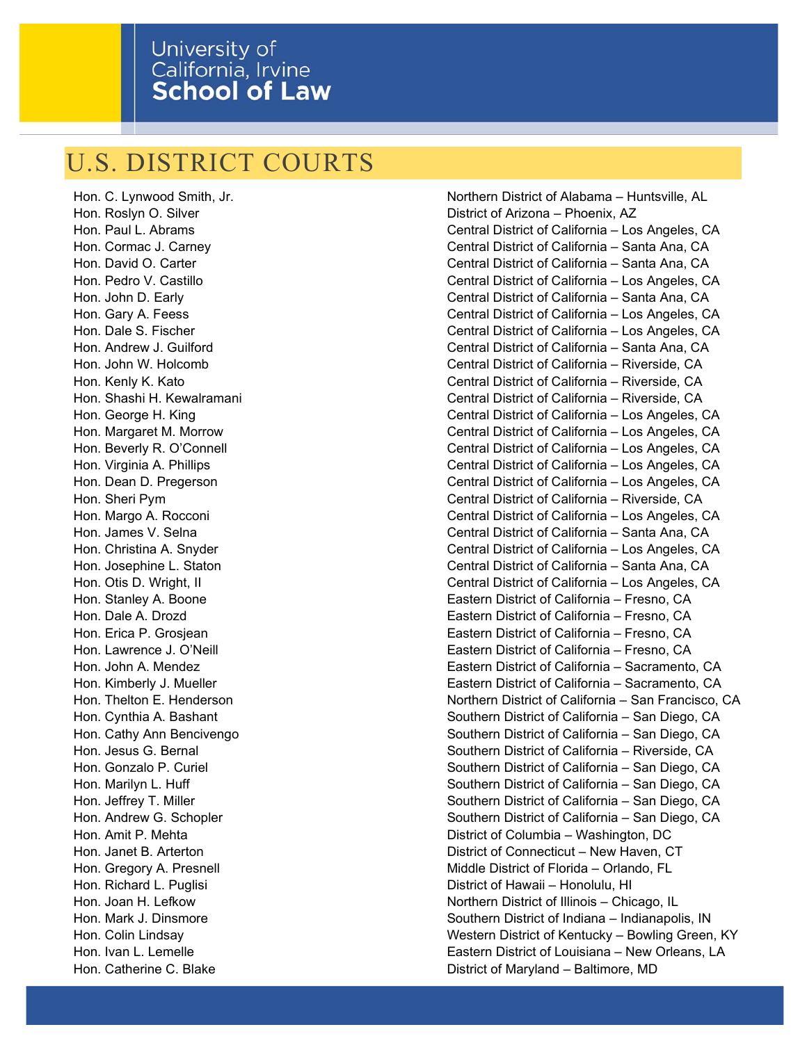## U.S. DISTRICT COURTS

Hon. C. Lynwood Smith, Jr. Northern District of Alabama – Huntsville, AL Hon. Roslyn O. Silver **District of Arizona** – Phoenix, AZ Hon. Paul L. Abrams Central District of California – Los Angeles, CA Hon. Cormac J. Carney Carnes Carnes Central District of California – Santa Ana, CA Hon. David O. Carter Central District of California – Santa Ana, CA Hon. Pedro V. Castillo Central District of California – Los Angeles, CA Hon. John D. Early Central District of California – Santa Ana, CA Hon. Gary A. Feess Central District of California – Los Angeles, CA Hon. Dale S. Fischer Central District of California – Los Angeles, CA Hon. Andrew J. Guilford Central District of California – Santa Ana, CA Hon. John W. Holcomb Central District of California – Riverside, CA Hon. Kenly K. Kato Central District of California – Riverside, CA Hon. Shashi H. Kewalramani Central District of California – Riverside, CA Hon. George H. King Central District of California – Los Angeles, CA Hon. Margaret M. Morrow Central District of California – Los Angeles, CA Hon. Beverly R. O'Connell Central District of California – Los Angeles, CA Hon. Virginia A. Phillips Central District of California – Los Angeles, CA Hon. Dean D. Pregerson Central District of California – Los Angeles, CA Hon. Sheri Pym Central District of California – Riverside, CA Hon. Margo A. Rocconi Central District of California – Los Angeles, CA Hon. James V. Selna California – Santa Ana, CA Hon. Christina A. Snyder Central District of California – Los Angeles, CA Hon. Josephine L. Staton Central District of California – Santa Ana, CA Hon. Otis D. Wright, II Central District of California – Los Angeles, CA Hon. Stanley A. Boone Eastern District of California – Fresno, CA Hon. Dale A. Drozd Eastern District of California – Fresno, CA Hon. Erica P. Grosjean Eastern District of California – Fresno, CA Hon. Lawrence J. O'Neill Eastern District of California – Fresno, CA Hon. John A. Mendez Eastern District of California – Sacramento, CA Hon. Kimberly J. Mueller Eastern District of California – Sacramento, CA Hon. Thelton E. Henderson Northern District of California – San Francisco, CA Hon. Cynthia A. Bashant Southern District of California – San Diego, CA Hon. Cathy Ann Bencivengo **Southern District of California – San Diego**, CA Hon. Jesus G. Bernal Southern District of California – Riverside, CA Hon. Gonzalo P. Curiel Southern District of California – San Diego, CA Hon. Marilyn L. Huff Southern District of California – San Diego, CA Hon. Jeffrey T. Miller San Diego, CA and District of California – San Diego, CA Hon. Andrew G. Schopler Southern District of California – San Diego, CA Hon. Amit P. Mehta District of Columbia – Washington, DC Hon. Janet B. Arterton District of Connecticut – New Haven, CT Hon. Gregory A. Presnell **Middle District of Florida** – Orlando, FL Hon. Richard L. Puglisi District of Hawaii – Honolulu, HI Hon. Joan H. Lefkow Northern District of Illinois – Chicago, IL Hon. Mark J. Dinsmore **Southern District of Indiana – Indianapolis**, IN Hon. Colin Lindsay Western District of Kentucky – Bowling Green, KY Hon. Ivan L. Lemelle Eastern District of Louisiana – New Orleans, LA Hon. Catherine C. Blake **District of Maryland – Baltimore, MD**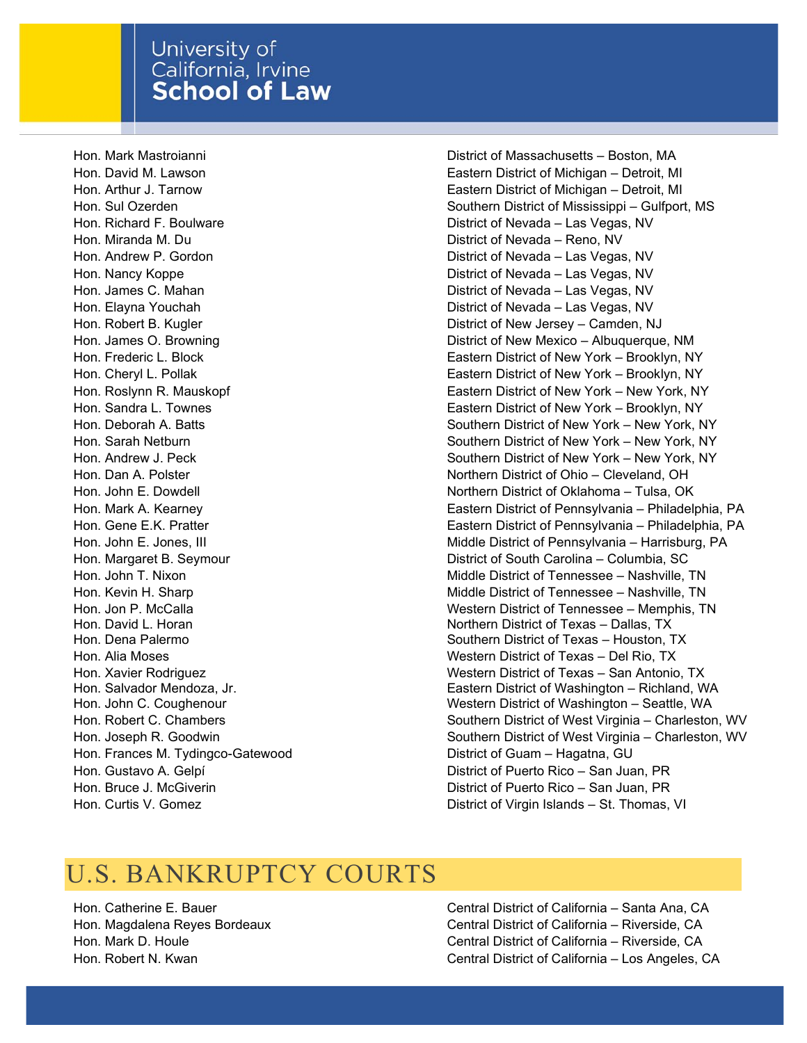#### University of California, Irvine **School of Law**

Hon. Richard F. Boulware **District of Nevada – Las Vegas, NV** Hon. Miranda M. Du District of Nevada – Reno, NV Hon. Andrew P. Gordon **District of Nevada – Las Vegas, NV** Hon. Nancy Koppe **District of Nevada – Las Vegas, NV** Hon. James C. Mahan **District of Nevada – Las Vegas, NV** Hon. Elayna Youchah District of Nevada – Las Vegas, NV Hon. David L. Horan Hon. Dena Palermo Hon. Salvador Mendoza, Jr. Hon. John C. Coughenour Hon. Frances M. Tydingco-Gatewood **District of Guam – Hagatna, GU** Hon. Curtis V. Gomez District of Virgin Islands – St. Thomas, VI

Hon. Mark Mastroianni District of Massachusetts – Boston, MA Hon. David M. Lawson Eastern District of Michigan – Detroit, MI Hon. Arthur J. Tarnow Eastern District of Michigan – Detroit, MI Hon. Sul Ozerden Southern District of Mississippi – Gulfport, MS Hon. Robert B. Kugler **District of New Jersey – Camden, NJ** Hon. James O. Browning **District of New Mexico** – Albuquerque, NM Hon. Frederic L. Block Eastern District of New York – Brooklyn, NY Hon. Cheryl L. Pollak Eastern District of New York – Brooklyn, NY Hon. Roslynn R. Mauskopf **Eastern District of New York – New York**, NY Hon. Sandra L. Townes Eastern District of New York – Brooklyn, NY Hon. Deborah A. Batts Southern District of New York – New York, NY Hon. Sarah Netburn Sulface Community Countern District of New York – New York, NY Hon. Andrew J. Peck Southern District of New York – New York, NY Hon. Dan A. Polster Northern District of Ohio – Cleveland, OH Hon. John E. Dowdell Northern District of Oklahoma – Tulsa, OK Hon. Mark A. Kearney Eastern District of Pennsylvania – Philadelphia, PA Hon. Gene E.K. Pratter Eastern District of Pennsylvania – Philadelphia, PA Hon. John E. Jones, III **Middle District of Pennsylvania – Harrisburg**, PA Hon. Margaret B. Seymour District of South Carolina – Columbia, SC Hon. John T. Nixon Middle District of Tennessee – Nashville, TN Hon. Kevin H. Sharp Middle District of Tennessee – Nashville, TN Hon. Jon P. McCalla Western District of Tennessee – Memphis, TN Northern District of Texas – Dallas, TX Southern District of Texas – Houston, TX Hon. Alia Moses Western District of Texas – Del Rio, TX Hon. Xavier Rodriguez Western District of Texas – San Antonio, TX Eastern District of Washington – Richland, WA Western District of Washington – Seattle, WA Hon. Robert C. Chambers Note of Southern District of West Virginia – Charleston, WV Hon. Joseph R. Goodwin Southern District of West Virginia – Charleston, WV Hon. Gustavo A. Gelpí **District of Puerto Rico – San Juan, PR** Hon. Bruce J. McGiverin District of Puerto Rico – San Juan, PR

# U.S. BANKRUPTCY COURTS

Hon. Catherine E. Bauer Central District of California – Santa Ana, CA Hon. Magdalena Reyes Bordeaux Central District of California – Riverside, CA Hon. Mark D. Houle Central District of California – Riverside, CA Hon. Robert N. Kwan Central District of California – Los Angeles, CA